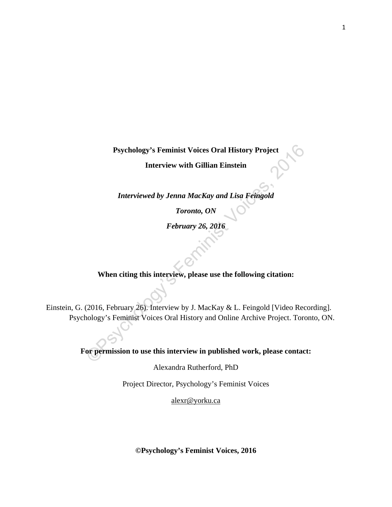**Psychology's Feminist Voices Oral History Project**

**Interview with Gillian Einstein**

*Interviewed by Jenna MacKay and Lisa Feingold*

*Toronto, ON* 

*February 26, 2016* 

## **When citing this interview, please use the following citation:**

Psychology's Feminist Voices Oral History Project<br>Interview with Gillian Einstein<br>Interviewed by Jenna MacKay and Lisa Feingold<br>Toronto, ON<br>February 26, 2016<br>When citing this interview, please use the following citation:<br>( Einstein, G. (2016, February 26). Interview by J. MacKay & L. Feingold [Video Recording]. Psychology's Feminist Voices Oral History and Online Archive Project. Toronto, ON.

**For permission to use this interview in published work, please contact:**

Alexandra Rutherford, PhD

Project Director, Psychology's Feminist Voices

[alexr@yorku.ca](mailto:alexr@yorku.ca)

**©Psychology's Feminist Voices, 2016**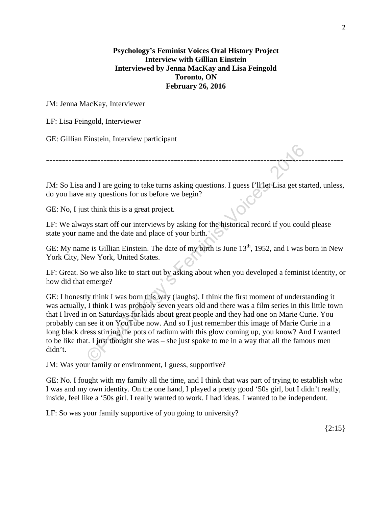## **Psychology's Feminist Voices Oral History Project Interview with Gillian Einstein Interviewed by Jenna MacKay and Lisa Feingold Toronto, ON February 26, 2016**

JM: Jenna MacKay, Interviewer

LF: Lisa Feingold, Interviewer

GE: Gillian Einstein, Interview participant

JM: So Lisa and I are going to take turns asking questions. I guess I'll let Lisa get started, unless, do you have any questions for us before we begin?

---------------------------------------------------------------------------------------------

GE: No, I just think this is a great project.

LF: We always start off our interviews by asking for the historical record if you could please state your name and the date and place of your birth.

GE: My name is Gillian Einstein. The date of my birth is June 13<sup>th</sup>, 1952, and I was born in New York City, New York, United States.

LF: Great. So we also like to start out by asking about when you developed a feminist identity, or how did that emerge?

and I are going to take turns asking questions. I guess I'll Let Lisa get star any questions for us before we begin?<br>
St think this is a great project.<br>
St think this is a great project.<br>
St start off our interviews by ask GE: I honestly think I was born this way (laughs). I think the first moment of understanding it was actually, I think I was probably seven years old and there was a film series in this little town that I lived in on Saturdays for kids about great people and they had one on Marie Curie. You probably can see it on YouTube now. And so I just remember this image of Marie Curie in a long black dress stirring the pots of radium with this glow coming up, you know? And I wanted to be like that. I just thought she was – she just spoke to me in a way that all the famous men didn't.

JM: Was your family or environment, I guess, supportive?

GE: No. I fought with my family all the time, and I think that was part of trying to establish who I was and my own identity. On the one hand, I played a pretty good '50s girl, but I didn't really, inside, feel like a '50s girl. I really wanted to work. I had ideas. I wanted to be independent.

LF: So was your family supportive of you going to university?

 ${2:}15$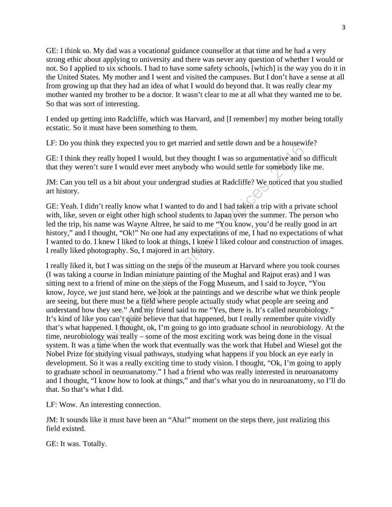GE: I think so. My dad was a vocational guidance counsellor at that time and he had a very strong ethic about applying to university and there was never any question of whether I would or not. So I applied to six schools. I had to have some safety schools, [which] is the way you do it in the United States. My mother and I went and visited the campuses. But I don't have a sense at all from growing up that they had an idea of what I would do beyond that. It was really clear my mother wanted my brother to be a doctor. It wasn't clear to me at all what they wanted me to be. So that was sort of interesting.

I ended up getting into Radcliffe, which was Harvard, and [I remember] my mother being totally ecstatic. So it must have been something to them.

LF: Do you think they expected you to get married and settle down and be a housewife?

GE: I think they really hoped I would, but they thought I was so argumentative and so difficult that they weren't sure I would ever meet anybody who would settle for somebody like me.

JM: Can you tell us a bit about your undergrad studies at Radcliffe? We noticed that you studied art history.

GE: Yeah. I didn't really know what I wanted to do and I had taken a trip with a private school with, like, seven or eight other high school students to Japan over the summer. The person who led the trip, his name was Wayne Altree, he said to me "You know, you'd be really good in art history," and I thought, "Ok!" No one had any expectations of me, I had no expectations of what I wanted to do. I knew I liked to look at things, I knew I liked colour and construction of images. I really liked photography. So, I majored in art history.

mink and early expected you to get mainted and sette down and be a notisewn<br>hey really hoped I would, but they thought I was so argumentative and sc<br>m't sure I would ever meet anybody who would settle for somebody like<br>tel I really liked it, but I was sitting on the steps of the museum at Harvard where you took courses (I was taking a course in Indian miniature painting of the Mughal and Rajput eras) and I was sitting next to a friend of mine on the steps of the Fogg Museum, and I said to Joyce, "You know, Joyce, we just stand here, we look at the paintings and we describe what we think people are seeing, but there must be a field where people actually study what people are seeing and understand how they see." And my friend said to me "Yes, there is. It's called neurobiology." It's kind of like you can't quite believe that that happened, but I really remember quite vividly that's what happened. I thought, ok, I'm going to go into graduate school in neurobiology. At the time, neurobiology was really – some of the most exciting work was being done in the visual system. It was a time when the work that eventually was the work that Hubel and Wiesel got the Nobel Prize for studying visual pathways, studying what happens if you block an eye early in development. So it was a really exciting time to study vision. I thought, "Ok, I'm going to apply to graduate school in neuroanatomy." I had a friend who was really interested in neuroanatomy and I thought, "I know how to look at things," and that's what you do in neuroanatomy, so I'll do that. So that's what I did.

LF: Wow. An interesting connection.

JM: It sounds like it must have been an "Aha!" moment on the steps there, just realizing this field existed.

GE: It was. Totally.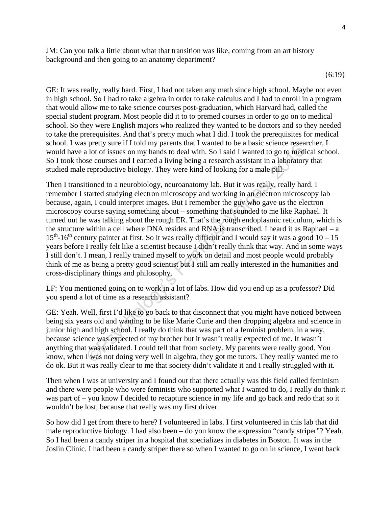JM: Can you talk a little about what that transition was like, coming from an art history background and then going to an anatomy department?

GE: It was really, really hard. First, I had not taken any math since high school. Maybe not even in high school. So I had to take algebra in order to take calculus and I had to enroll in a program that would allow me to take science courses post-graduation, which Harvard had, called the special student program. Most people did it to to premed courses in order to go on to medical school. So they were English majors who realized they wanted to be doctors and so they needed to take the prerequisites. And that's pretty much what I did. I took the prerequisites for medical school. I was pretty sure if I told my parents that I wanted to be a basic science researcher, I would have a lot of issues on my hands to deal with. So I said I wanted to go to medical school. So I took those courses and I earned a living being a research assistant in a laboratory that studied male reproductive biology. They were kind of looking for a male pill.

puery suare in touting paralists untained to the a doats scheller is easing the protocol and to disines on my hands to deal with. So I said I wanted to go to mediate resears and I carned only had to deal with. So I said I Then I transitioned to a neurobiology, neuroanatomy lab. But it was really, really hard. I remember I started studying electron microscopy and working in an electron microscopy lab because, again, I could interpret images. But I remember the guy who gave us the electron microscopy course saying something about – something that sounded to me like Raphael. It turned out he was talking about the rough ER. That's the rough endoplasmic reticulum, which is the structure within a cell where DNA resides and RNA is transcribed. I heard it as Raphael – a  $15<sup>th</sup>$ -16<sup>th</sup> century painter at first. So it was really difficult and I would say it was a good 10 – 15 years before I really felt like a scientist because I didn't really think that way. And in some ways I still don't. I mean, I really trained myself to work on detail and most people would probably think of me as being a pretty good scientist but I still am really interested in the humanities and cross-disciplinary things and philosophy.

LF: You mentioned going on to work in a lot of labs. How did you end up as a professor? Did you spend a lot of time as a research assistant?

GE: Yeah. Well, first I'd like to go back to that disconnect that you might have noticed between being six years old and wanting to be like Marie Curie and then dropping algebra and science in junior high and high school. I really do think that was part of a feminist problem, in a way, because science was expected of my brother but it wasn't really expected of me. It wasn't anything that was validated. I could tell that from society. My parents were really good. You know, when I was not doing very well in algebra, they got me tutors. They really wanted me to do ok. But it was really clear to me that society didn't validate it and I really struggled with it.

Then when I was at university and I found out that there actually was this field called feminism and there were people who were feminists who supported what I wanted to do, I really do think it was part of – you know I decided to recapture science in my life and go back and redo that so it wouldn't be lost, because that really was my first driver.

So how did I get from there to here? I volunteered in labs. I first volunteered in this lab that did male reproductive biology. I had also been – do you know the expression "candy striper"? Yeah. So I had been a candy striper in a hospital that specializes in diabetes in Boston. It was in the Joslin Clinic. I had been a candy striper there so when I wanted to go on in science, I went back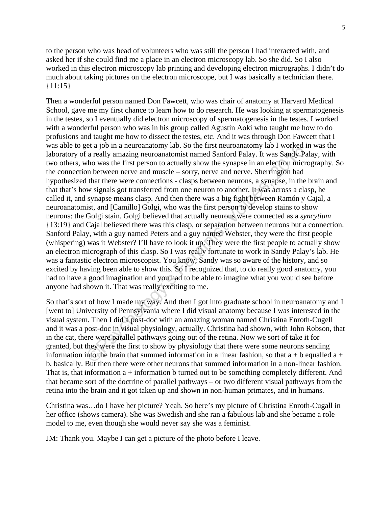to the person who was head of volunteers who was still the person I had interacted with, and asked her if she could find me a place in an electron microscopy lab. So she did. So I also worked in this electron microscopy lab printing and developing electron micrographs. I didn't do much about taking pictures on the electron microscope, but I was basically a technician there.  ${11:15}$ 

f a really ammed part and more than a state that the traction is a really amazing meuroanatomy lab I worked in<br>So the first person to actually show the synapse in an electron micron<br>above the first person to actually show Then a wonderful person named Don Fawcett, who was chair of anatomy at Harvard Medical School, gave me my first chance to learn how to do research. He was looking at spermatogenesis in the testes, so I eventually did electron microscopy of spermatogenesis in the testes. I worked with a wonderful person who was in his group called Agustin Aoki who taught me how to do profusions and taught me how to dissect the testes, etc. And it was through Don Fawcett that I was able to get a job in a neuroanatomy lab. So the first neuroanatomy lab I worked in was the laboratory of a really amazing neuroanatomist named Sanford Palay. It was Sandy Palay, with two others, who was the first person to actually show the synapse in an electron micrography. So the connection between nerve and muscle – sorry, nerve and nerve. Sherrington had hypothesized that there were connections - clasps between neurons, a synapse, in the brain and that that's how signals got transferred from one neuron to another. It was across a clasp, he called it, and synapse means clasp. And then there was a big fight between Ramón y Cajal, a neuroanatomist, and [Camillo] Golgi, who was the first person to develop stains to show neurons: the Golgi stain. Golgi believed that actually neurons were connected as a *syncytium* {13:19} and Cajal believed there was this clasp, or separation between neurons but a connection. Sanford Palay, with a guy named Peters and a guy named Webster, they were the first people (whispering) was it Webster? I'll have to look it up. They were the first people to actually show an electron micrograph of this clasp. So I was really fortunate to work in Sandy Palay's lab. He was a fantastic electron microscopist. You know, Sandy was so aware of the history, and so excited by having been able to show this. So I recognized that, to do really good anatomy, you had to have a good imagination and you had to be able to imagine what you would see before anyone had shown it. That was really exciting to me.

So that's sort of how I made my way. And then I got into graduate school in neuroanatomy and I [went to] University of Pennsylvania where I did visual anatomy because I was interested in the visual system. Then I did a post-doc with an amazing woman named Christina Enroth-Cugell and it was a post-doc in visual physiology, actually. Christina had shown, with John Robson, that in the cat, there were parallel pathways going out of the retina. Now we sort of take it for granted, but they were the first to show by physiology that there were some neurons sending information into the brain that summed information in a linear fashion, so that  $a + b$  equalled  $a + b$ b, basically. But then there were other neurons that summed information in a non-linear fashion. That is, that information  $a +$  information b turned out to be something completely different. And that became sort of the doctrine of parallel pathways – or two different visual pathways from the retina into the brain and it got taken up and shown in non-human primates, and in humans.

Christina was…do I have her picture? Yeah. So here's my picture of Christina Enroth-Cugall in her office (shows camera). She was Swedish and she ran a fabulous lab and she became a role model to me, even though she would never say she was a feminist.

JM: Thank you. Maybe I can get a picture of the photo before I leave.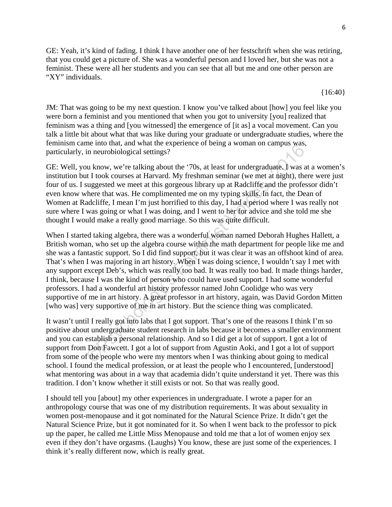GE: Yeah, it's kind of fading. I think I have another one of her festschrift when she was retiring, that you could get a picture of. She was a wonderful person and I loved her, but she was not a feminist. These were all her students and you can see that all but me and one other person are "XY" individuals.

JM: That was going to be my next question. I know you've talked about [how] you feel like you were born a feminist and you mentioned that when you got to university [you] realized that feminism was a thing and [you witnessed] the emergence of [it as] a vocal movement. Can you talk a little bit about what that was like during your graduate or undergraduate studies, where the feminism came into that, and what the experience of being a woman on campus was, particularly, in neurobiological settings?

GE: Well, you know, we're talking about the '70s, at least for undergraduate. I was at a women's institution but I took courses at Harvard. My freshman seminar (we met at night), there were just four of us. I suggested we meet at this gorgeous library up at Radcliffe and the professor didn't even know where that was. He complimented me on my typing skills. In fact, the Dean of Women at Radcliffe, I mean I'm just horrified to this day, I had a period where I was really not sure where I was going or what I was doing, and I went to her for advice and she told me she thought I would make a really good marriage. So this was quite difficult.

me mot max; and und the experience of oleng a wonnant on campus was,<br>in meurobiological settings?<br>ou know, we're talking about the '70s, at least for undergraduate. I was at<br>the took courses at Harvard. My freshman seminar When I started taking algebra, there was a wonderful woman named Deborah Hughes Hallett, a British woman, who set up the algebra course within the math department for people like me and she was a fantastic support. So I did find support, but it was clear it was an offshoot kind of area. That's when I was majoring in art history. When I was doing science, I wouldn't say I met with any support except Deb's, which was really too bad. It was really too bad. It made things harder, I think, because I was the kind of person who could have used support. I had some wonderful professors. I had a wonderful art history professor named John Coolidge who was very supportive of me in art history. A great professor in art history, again, was David Gordon Mitten [who was] very supportive of me in art history. But the science thing was complicated.

It wasn't until I really got into labs that I got support. That's one of the reasons I think I'm so positive about undergraduate student research in labs because it becomes a smaller environment and you can establish a personal relationship. And so I did get a lot of support. I got a lot of support from Don Fawcett. I got a lot of support from Agustin Aoki, and I got a lot of support from some of the people who were my mentors when I was thinking about going to medical school. I found the medical profession, or at least the people who I encountered, [understood] what mentoring was about in a way that academia didn't quite understand it yet. There was this tradition. I don't know whether it still exists or not. So that was really good.

I should tell you [about] my other experiences in undergraduate. I wrote a paper for an anthropology course that was one of my distribution requirements. It was about sexuality in women post-menopause and it got nominated for the Natural Science Prize. It didn't get the Natural Science Prize, but it got nominated for it. So when I went back to the professor to pick up the paper, he called me Little Miss Menopause and told me that a lot of women enjoy sex even if they don't have orgasms. (Laughs) You know, these are just some of the experiences. I think it's really different now, which is really great.

{16:40}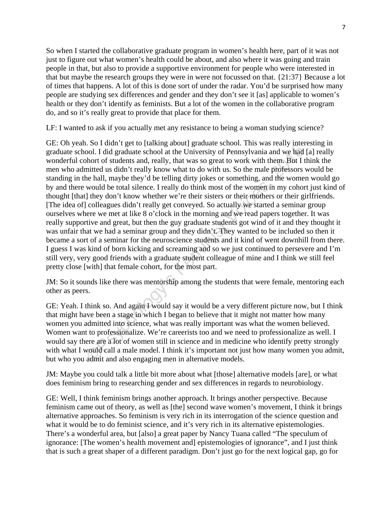So when I started the collaborative graduate program in women's health here, part of it was not just to figure out what women's health could be about, and also where it was going and train people in that, but also to provide a supportive environment for people who were interested in that but maybe the research groups they were in were not focussed on that. {21:37} Because a lot of times that happens. A lot of this is done sort of under the radar. You'd be surprised how many people are studying sex differences and gender and they don't see it [as] applicable to women's health or they don't identify as feminists. But a lot of the women in the collaborative program do, and so it's really great to provide that place for them.

LF: I wanted to ask if you actually met any resistance to being a woman studying science?

about the state state states and it is a so that in the state of the protocol. This was carry increaded by the mail exploit of students and, really, that was so great to work with them. But I thinked us didn't really know GE: Oh yeah. So I didn't get to [talking about] graduate school. This was really interesting in graduate school. I did graduate school at the University of Pennsylvania and we had [a] really wonderful cohort of students and, really, that was so great to work with them. But I think the men who admitted us didn't really know what to do with us. So the male professors would be standing in the hall, maybe they'd be telling dirty jokes or something, and the women would go by and there would be total silence. I really do think most of the women in my cohort just kind of thought [that] they don't know whether we're their sisters or their mothers or their girlfriends. [The idea of] colleagues didn't really get conveyed. So actually we started a seminar group ourselves where we met at like 8 o'clock in the morning and we read papers together. It was really supportive and great, but then the guy graduate students got wind of it and they thought it was unfair that we had a seminar group and they didn't. They wanted to be included so then it became a sort of a seminar for the neuroscience students and it kind of went downhill from there. I guess I was kind of born kicking and screaming and so we just continued to persevere and I'm still very, very good friends with a graduate student colleague of mine and I think we still feel pretty close [with] that female cohort, for the most part.

JM: So it sounds like there was mentorship among the students that were female, mentoring each other as peers.

GE: Yeah. I think so. And again I would say it would be a very different picture now, but I think that might have been a stage in which I began to believe that it might not matter how many women you admitted into science, what was really important was what the women believed. Women want to professionalize. We're careerists too and we need to professionalize as well. I would say there are a lot of women still in science and in medicine who identify pretty strongly with what I would call a male model. I think it's important not just how many women you admit, but who you admit and also engaging men in alternative models.

JM: Maybe you could talk a little bit more about what [those] alternative models [are], or what does feminism bring to researching gender and sex differences in regards to neurobiology.

GE: Well, I think feminism brings another approach. It brings another perspective. Because feminism came out of theory, as well as [the] second wave women's movement, I think it brings alternative approaches. So feminism is very rich in its interrogation of the science question and what it would be to do feminist science, and it's very rich in its alternative epistemologies. There's a wonderful area, but [also] a great paper by Nancy Tuana called "The speculum of ignorance: [The women's health movement and] epistemologies of ignorance", and I just think that is such a great shaper of a different paradigm. Don't just go for the next logical gap, go for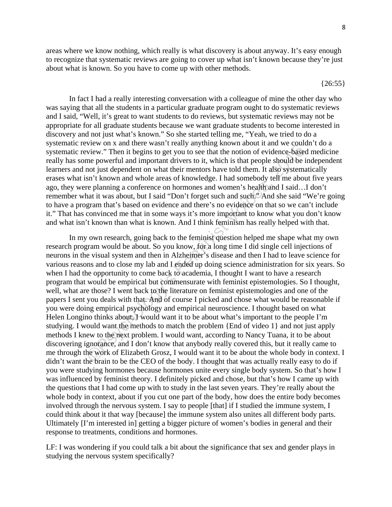areas where we know nothing, which really is what discovery is about anyway. It's easy enough to recognize that systematic reviews are going to cover up what isn't known because they're just about what is known. So you have to come up with other methods.

 ${26:55}$ 

In fact I had a really interesting conversation with a colleague of mine the other day who was saying that all the students in a particular graduate program ought to do systematic reviews and I said, "Well, it's great to want students to do reviews, but systematic reviews may not be appropriate for all graduate students because we want graduate students to become interested in discovery and not just what's known." So she started telling me, "Yeah, we tried to do a systematic review on x and there wasn't really anything known about it and we couldn't do a systematic review." Then it begins to get you to see that the notion of evidence-based medicine really has some powerful and important drivers to it, which is that people should be independent learners and not just dependent on what their mentors have told them. It also systematically erases what isn't known and whole areas of knowledge. I had somebody tell me about five years ago, they were planning a conference on hormones and women's health and I said…I don't remember what it was about, but I said "Don't forget such and such." And she said "We're going to have a program that's based on evidence and there's no evidence on that so we can't include it." That has convinced me that in some ways it's more important to know what you don't know and what isn't known than what is known. And I think feminism has really helped with that.

We would some three waster ready anything known and we count<br>wive with a matter was treated to the product and we count the motion of evidence-based<br>me powerful and important drivers to it, which is that people should be In my own research, going back to the feminist question helped me shape what my own research program would be about. So you know, for a long time I did single cell injections of neurons in the visual system and then in Alzheimer's disease and then I had to leave science for various reasons and to close my lab and I ended up doing science administration for six years. So when I had the opportunity to come back to academia, I thought I want to have a research program that would be empirical but commensurate with feminist epistemologies. So I thought, well, what are those? I went back to the literature on feminist epistemologies and one of the papers I sent you deals with that. And of course I picked and chose what would be reasonable if you were doing empirical psychology and empirical neuroscience. I thought based on what Helen Longino thinks about, I would want it to be about what's important to the people I'm studying. I would want the methods to match the problem {End of video 1} and not just apply methods I knew to the next problem. I would want, according to Nancy Tuana, it to be about discovering ignorance, and I don't know that anybody really covered this, but it really came to me through the work of Elizabeth Grosz, I would want it to be about the whole body in context. I didn't want the brain to be the CEO of the body. I thought that was actually really easy to do if you were studying hormones because hormones unite every single body system. So that's how I was influenced by feminist theory. I definitely picked and chose, but that's how I came up with the questions that I had come up with to study in the last seven years. They're really about the whole body in context, about if you cut one part of the body, how does the entire body becomes involved through the nervous system. I say to people [that] if I studied the immune system, I could think about it that way [because] the immune system also unites all different body parts. Ultimately [I'm interested in] getting a bigger picture of women's bodies in general and their response to treatments, conditions and hormones.

LF: I was wondering if you could talk a bit about the significance that sex and gender plays in studying the nervous system specifically?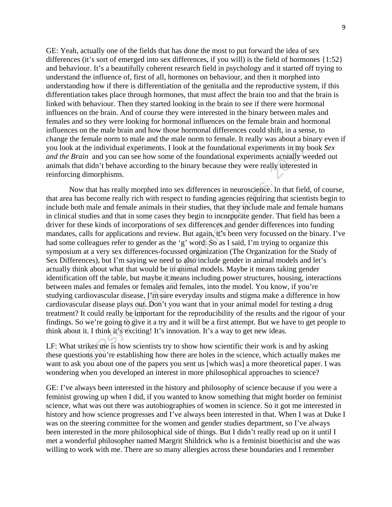GE: Yeah, actually one of the fields that has done the most to put forward the idea of sex differences (it's sort of emerged into sex differences, if you will) is the field of hormones {1:52} and behaviour. It's a beautifully coherent research field in psychology and it started off trying to understand the influence of, first of all, hormones on behaviour, and then it morphed into understanding how if there is differentiation of the genitalia and the reproductive system, if this differentiation takes place through hormones, that must affect the brain too and that the brain is linked with behaviour. Then they started looking in the brain to see if there were hormonal influences on the brain. And of course they were interested in the binary between males and females and so they were looking for hormonal influences on the female brain and hormonal influences on the male brain and how those hormonal differences could shift, in a sense, to change the female norm to male and the male norm to female. It really was about a binary even if you look at the individual experiments. I look at the foundational experiments in my book *Sex and the Brain* and you can see how some of the foundational experiments actually weeded out animals that didn't behave according to the binary because they were really interested in reinforcing dimorphisms.

the individual experiments. I look at the foundational experiments in my the and you can see how some of the foundational experiments actually we didn't behow according to the binary because they were really interested im Now that has really morphed into sex differences in neuroscience. In that field, of course, that area has become really rich with respect to funding agencies requiring that scientists begin to include both male and female animals in their studies, that they include male and female humans in clinical studies and that in some cases they begin to incorporate gender. That field has been a driver for these kinds of incorporations of sex differences and gender differences into funding mandates, calls for applications and review. But again, it's been very focussed on the binary. I've had some colleagues refer to gender as the 'g' word. So as I said, I'm trying to organize this symposium at a very sex differences-focussed organization (The Organization for the Study of Sex Differences), but I'm saying we need to also include gender in animal models and let's actually think about what that would be in animal models. Maybe it means taking gender identification off the table, but maybe it means including power structures, housing, interactions between males and females or females and females, into the model. You know, if you're studying cardiovascular disease, I'm sure everyday insults and stigma make a difference in how cardiovascular disease plays out. Don't you want that in your animal model for testing a drug treatment? It could really be important for the reproducibility of the results and the rigour of your findings. So we're going to give it a try and it will be a first attempt. But we have to get people to think about it. I think it's exciting! It's innovation. It's a way to get new ideas.

LF: What strikes me is how scientists try to show how scientific their work is and by asking these questions you're establishing how there are holes in the science, which actually makes me want to ask you about one of the papers you sent us [which was] a more theoretical paper. I was wondering when you developed an interest in more philosophical approaches to science?

GE: I've always been interested in the history and philosophy of science because if you were a feminist growing up when I did, if you wanted to know something that might border on feminist science, what was out there was autobiographies of women in science. So it got me interested in history and how science progresses and I've always been interested in that. When I was at Duke I was on the steering committee for the women and gender studies department, so I've always been interested in the more philosophical side of things. But I didn't really read up on it until I met a wonderful philosopher named Margrit Shildrick who is a feminist bioethicist and she was willing to work with me. There are so many allergies across these boundaries and I remember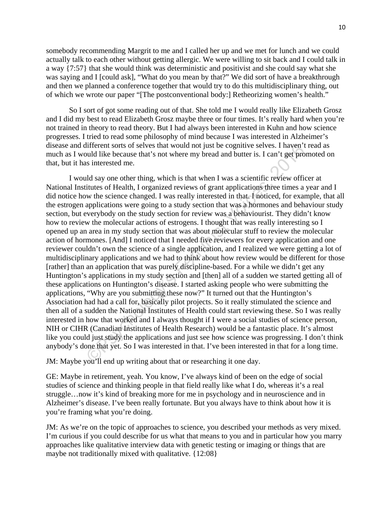somebody recommending Margrit to me and I called her up and we met for lunch and we could actually talk to each other without getting allergic. We were willing to sit back and I could talk in a way {7:57} that she would think was deterministic and positivist and she could say what she was saying and I [could ask], "What do you mean by that?" We did sort of have a breakthrough and then we planned a conference together that would try to do this multidisciplinary thing, out of which we wrote our paper "[The postconventional body:] Retheorizing women's health."

 So I sort of got some reading out of that. She told me I would really like Elizabeth Grosz and I did my best to read Elizabeth Grosz maybe three or four times. It's really hard when you're not trained in theory to read theory. But I had always been interested in Kuhn and how science progresses. I tried to read some philosophy of mind because I was interested in Alzheimer's disease and different sorts of selves that would not just be cognitive selves. I haven't read as much as I would like because that's not where my bread and butter is. I can't get promoted on that, but it has interested me.

fifterent sorts of selves that would not just be cognitive selves. I haven't julid like because that's not where my bread and butter is. I can't get prond like because that's not where my bread and butter is. I can't get p I would say one other thing, which is that when I was a scientific review officer at National Institutes of Health, I organized reviews of grant applications three times a year and I did notice how the science changed. I was really interested in that. I noticed, for example, that all the estrogen applications were going to a study section that was a hormones and behaviour study section, but everybody on the study section for review was a behaviourist. They didn't know how to review the molecular actions of estrogens. I thought that was really interesting so I opened up an area in my study section that was about molecular stuff to review the molecular action of hormones. [And] I noticed that I needed five reviewers for every application and one reviewer couldn't own the science of a single application, and I realized we were getting a lot of multidisciplinary applications and we had to think about how review would be different for those [rather] than an application that was purely discipline-based. For a while we didn't get any Huntington's applications in my study section and [then] all of a sudden we started getting all of these applications on Huntington's disease. I started asking people who were submitting the applications, "Why are you submitting these now?" It turned out that the Huntington's Association had had a call for, basically pilot projects. So it really stimulated the science and then all of a sudden the National Institutes of Health could start reviewing these. So I was really interested in how that worked and I always thought if I were a social studies of science person, NIH or CIHR (Canadian Institutes of Health Research) would be a fantastic place. It's almost like you could just study the applications and just see how science was progressing. I don't think anybody's done that yet. So I was interested in that. I've been interested in that for a long time.

JM: Maybe you'll end up writing about that or researching it one day.

GE: Maybe in retirement, yeah. You know, I've always kind of been on the edge of social studies of science and thinking people in that field really like what I do, whereas it's a real struggle…now it's kind of breaking more for me in psychology and in neuroscience and in Alzheimer's disease. I've been really fortunate. But you always have to think about how it is you're framing what you're doing.

JM: As we're on the topic of approaches to science, you described your methods as very mixed. I'm curious if you could describe for us what that means to you and in particular how you marry approaches like qualitative interview data with genetic testing or imaging or things that are maybe not traditionally mixed with qualitative. {12:08}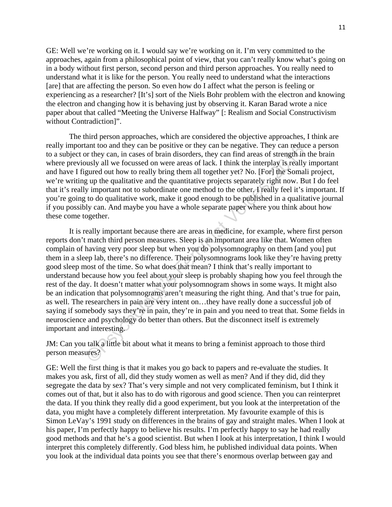GE: Well we're working on it. I would say we're working on it. I'm very committed to the approaches, again from a philosophical point of view, that you can't really know what's going on in a body without first person, second person and third person approaches. You really need to understand what it is like for the person. You really need to understand what the interactions [are] that are affecting the person. So even how do I affect what the person is feeling or experiencing as a researcher? [It's] sort of the Niels Bohr problem with the electron and knowing the electron and changing how it is behaving just by observing it. Karan Barad wrote a nice paper about that called "Meeting the Universe Halfway" [: Realism and Social Constructivism without Contradiction]".

The third person approaches, which are considered the objective approaches, I think are really important too and they can be positive or they can be negative. They can reduce a person to a subject or they can, in cases of brain disorders, they can find areas of strength in the brain where previously all we focussed on were areas of lack. I think the interplay is really important and have I figured out how to really bring them all together yet? No. [For] the Somali project, we're writing up the qualitative and the quantitative projects separately right now. But I do feel that it's really important not to subordinate one method to the other. I really feel it's important. If you're going to do qualitative work, make it good enough to be published in a qualitative journal if you possibly can. And maybe you have a whole separate paper where you think about how these come together.

ant too and they can be positive or they can be negative. They can reduce<br>or they can, in cases of brain disorders, they can find areas of strength in the<br>susty all we focussed on were areas of lack. I think the interplay It is really important because there are areas in medicine, for example, where first person reports don't match third person measures. Sleep is an important area like that. Women often complain of having very poor sleep but when you do polysomnography on them [and you] put them in a sleep lab, there's no difference. Their polysomnograms look like they're having pretty good sleep most of the time. So what does that mean? I think that's really important to understand because how you feel about your sleep is probably shaping how you feel through the rest of the day. It doesn't matter what your polysomnogram shows in some ways. It might also be an indication that polysomnograms aren't measuring the right thing. And that's true for pain, as well. The researchers in pain are very intent on…they have really done a successful job of saying if somebody says they're in pain, they're in pain and you need to treat that. Some fields in neuroscience and psychology do better than others. But the disconnect itself is extremely important and interesting.

JM: Can you talk a little bit about what it means to bring a feminist approach to those third person measures?

GE: Well the first thing is that it makes you go back to papers and re-evaluate the studies. It makes you ask, first of all, did they study women as well as men? And if they did, did they segregate the data by sex? That's very simple and not very complicated feminism, but I think it comes out of that, but it also has to do with rigorous and good science. Then you can reinterpret the data. If you think they really did a good experiment, but you look at the interpretation of the data, you might have a completely different interpretation. My favourite example of this is Simon LeVay's 1991 study on differences in the brains of gay and straight males. When I look at his paper, I'm perfectly happy to believe his results. I'm perfectly happy to say he had really good methods and that he's a good scientist. But when I look at his interpretation, I think I would interpret this completely differently. God bless him, he published individual data points. When you look at the individual data points you see that there's enormous overlap between gay and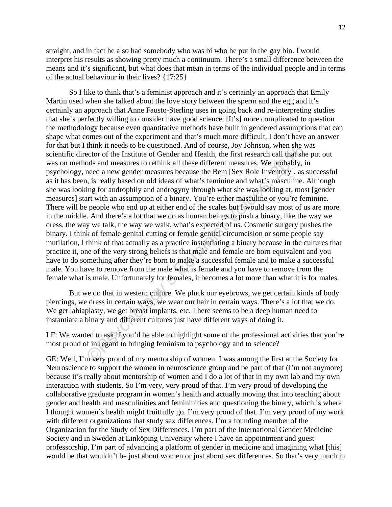straight, and in fact he also had somebody who was bi who he put in the gay bin. I would interpret his results as showing pretty much a continuum. There's a small difference between the means and it's significant, but what does that mean in terms of the individual people and in terms of the actual behaviour in their lives? {17:25}

think it needs to be questioned. And of course, Joy Johnson, when she wector of the Institute of Gender and Health, the first research call that she oclos and measures to rethink all these different measures. We probably, So I like to think that's a feminist approach and it's certainly an approach that Emily Martin used when she talked about the love story between the sperm and the egg and it's certainly an approach that Anne Fausto-Sterling uses in going back and re-interpreting studies that she's perfectly willing to consider have good science. [It's] more complicated to question the methodology because even quantitative methods have built in gendered assumptions that can shape what comes out of the experiment and that's much more difficult. I don't have an answer for that but I think it needs to be questioned. And of course, Joy Johnson, when she was scientific director of the Institute of Gender and Health, the first research call that she put out was on methods and measures to rethink all these different measures. We probably, in psychology, need a new gender measures because the Bem [Sex Role Inventory], as successful as it has been, is really based on old ideas of what's feminine and what's masculine. Although she was looking for androphily and androgyny through what she was looking at, most [gender measures] start with an assumption of a binary. You're either masculine or you're feminine. There will be people who end up at either end of the scales but I would say most of us are more in the middle. And there's a lot that we do as human beings to push a binary, like the way we dress, the way we talk, the way we walk, what's expected of us. Cosmetic surgery pushes the binary. I think of female genital cutting or female genital circumcision or some people say mutilation, I think of that actually as a practice instantiating a binary because in the cultures that practice it, one of the very strong beliefs is that male and female are born equivalent and you have to do something after they're born to make a successful female and to make a successful male. You have to remove from the male what is female and you have to remove from the female what is male. Unfortunately for females, it becomes a lot more than what it is for males.

But we do that in western culture. We pluck our eyebrows, we get certain kinds of body piercings, we dress in certain ways, we wear our hair in certain ways. There's a lot that we do. We get labiaplasty, we get breast implants, etc. There seems to be a deep human need to instantiate a binary and different cultures just have different ways of doing it.

LF: We wanted to ask if you'd be able to highlight some of the professional activities that you're most proud of in regard to bringing feminism to psychology and to science?

GE: Well, I'm very proud of my mentorship of women. I was among the first at the Society for Neuroscience to support the women in neuroscience group and be part of that (I'm not anymore) because it's really about mentorship of women and I do a lot of that in my own lab and my own interaction with students. So I'm very, very proud of that. I'm very proud of developing the collaborative graduate program in women's health and actually moving that into teaching about gender and health and masculinities and femininities and questioning the binary, which is where I thought women's health might fruitfully go. I'm very proud of that. I'm very proud of my work with different organizations that study sex differences. I'm a founding member of the Organization for the Study of Sex Differences. I'm part of the International Gender Medicine Society and in Sweden at Linköping University where I have an appointment and guest professorship, I'm part of advancing a platform of gender in medicine and imagining what [this] would be that wouldn't be just about women or just about sex differences. So that's very much in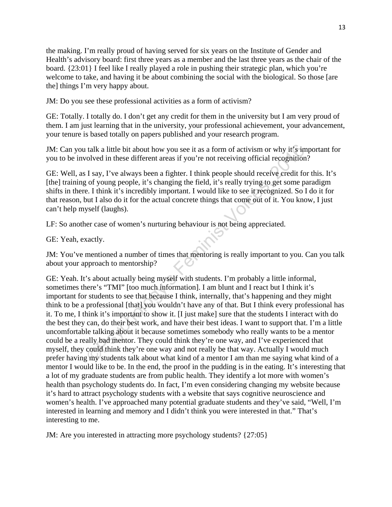the making. I'm really proud of having served for six years on the Institute of Gender and Health's advisory board: first three years as a member and the last three years as the chair of the board. {23:01} I feel like I really played a role in pushing their strategic plan, which you're welcome to take, and having it be about combining the social with the biological. So those [are the] things I'm very happy about.

JM: Do you see these professional activities as a form of activism?

GE: Totally. I totally do. I don't get any credit for them in the university but I am very proud of them. I am just learning that in the university, your professional achievement, your advancement, your tenure is based totally on papers published and your research program.

JM: Can you talk a little bit about how you see it as a form of activism or why it's important for you to be involved in these different areas if you're not receiving official recognition?

GE: Well, as I say, I've always been a fighter. I think people should receive credit for this. It's [the] training of young people, it's changing the field, it's really trying to get some paradigm shifts in there. I think it's incredibly important. I would like to see it recognized. So I do it for that reason, but I also do it for the actual concrete things that come out of it. You know, I just can't help myself (laughs).

LF: So another case of women's nurturing behaviour is not being appreciated.

GE: Yeah, exactly.

JM: You've mentioned a number of times that mentoring is really important to you. Can you talk about your approach to mentorship?

talk a little bit about how you see it as a form of activism or why it's im<br>olved in these different areas if you're not receiving official recognition.<br>
I say, I've always been a fighter. I think people should receive ere GE: Yeah. It's about actually being myself with students. I'm probably a little informal, sometimes there's "TMI" [too much information]. I am blunt and I react but I think it's important for students to see that because I think, internally, that's happening and they might think to be a professional [that] you wouldn't have any of that. But I think every professional has it. To me, I think it's important to show it. [I just make] sure that the students I interact with do the best they can, do their best work, and have their best ideas. I want to support that. I'm a little uncomfortable talking about it because sometimes somebody who really wants to be a mentor could be a really bad mentor. They could think they're one way, and I've experienced that myself, they could think they're one way and not really be that way. Actually I would much prefer having my students talk about what kind of a mentor I am than me saying what kind of a mentor I would like to be. In the end, the proof in the pudding is in the eating. It's interesting that a lot of my graduate students are from public health. They identify a lot more with women's health than psychology students do. In fact, I'm even considering changing my website because it's hard to attract psychology students with a website that says cognitive neuroscience and women's health. I've approached many potential graduate students and they've said, "Well, I'm interested in learning and memory and I didn't think you were interested in that." That's interesting to me.

JM: Are you interested in attracting more psychology students? {27:05}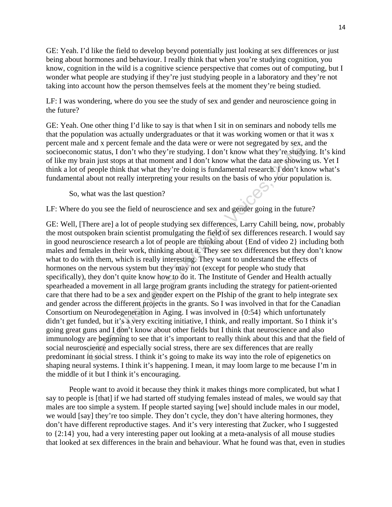GE: Yeah. I'd like the field to develop beyond potentially just looking at sex differences or just being about hormones and behaviour. I really think that when you're studying cognition, you know, cognition in the wild is a cognitive science perspective that comes out of computing, but I wonder what people are studying if they're just studying people in a laboratory and they're not taking into account how the person themselves feels at the moment they're being studied.

LF: I was wondering, where do you see the study of sex and gender and neuroscience going in the future?

GE: Yeah. One other thing I'd like to say is that when I sit in on seminars and nobody tells me that the population was actually undergraduates or that it was working women or that it was x percent male and x percent female and the data were or were not segregated by sex, and the socioeconomic status, I don't who they're studying. I don't know what they're studying. It's kind of like my brain just stops at that moment and I don't know what the data are showing us. Yet I think a lot of people think that what they're doing is fundamental research. I don't know what's fundamental about not really interpreting your results on the basis of who your population is.

So, what was the last question?

LF: Where do you see the field of neuroscience and sex and gender going in the future?

and  $x$  peten teame and the daa wee of twee for segegated by sex, a<br>circle status, I don't who they're studying. I don't know what they're studyi<br>ain just stops at that moment and I don't know what the data are showing<br>pe GE: Well, [There are] a lot of people studying sex differences, Larry Cahill being, now, probably the most outspoken brain scientist promulgating the field of sex differences research. I would say in good neuroscience research a lot of people are thinking about {End of video 2} including both males and females in their work, thinking about it. They see sex differences but they don't know what to do with them, which is really interesting. They want to understand the effects of hormones on the nervous system but they may not (except for people who study that specifically), they don't quite know how to do it. The Institute of Gender and Health actually spearheaded a movement in all large program grants including the strategy for patient-oriented care that there had to be a sex and gender expert on the PIship of the grant to help integrate sex and gender across the different projects in the grants. So I was involved in that for the Canadian Consortium on Neurodegeneration in Aging. I was involved in {0:54} which unfortunately didn't get funded, but it's a very exciting initiative, I think, and really important. So I think it's going great guns and I don't know about other fields but I think that neuroscience and also immunology are beginning to see that it's important to really think about this and that the field of social neuroscience and especially social stress, there are sex differences that are really predominant in social stress. I think it's going to make its way into the role of epigenetics on shaping neural systems. I think it's happening. I mean, it may loom large to me because I'm in the middle of it but I think it's encouraging.

 People want to avoid it because they think it makes things more complicated, but what I say to people is [that] if we had started off studying females instead of males, we would say that males are too simple a system. If people started saying [we] should include males in our model, we would [say] they're too simple. They don't cycle, they don't have altering hormones, they don't have different reproductive stages. And it's very interesting that Zucker, who I suggested to {2:14} you, had a very interesting paper out looking at a meta-analysis of all mouse studies that looked at sex differences in the brain and behaviour. What he found was that, even in studies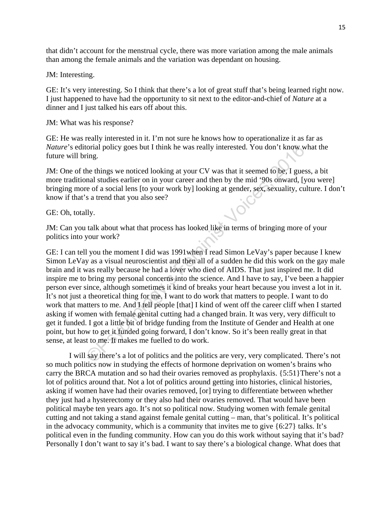that didn't account for the menstrual cycle, there was more variation among the male animals than among the female animals and the variation was dependant on housing.

JM: Interesting.

GE: It's very interesting. So I think that there's a lot of great stuff that's being learned right now. I just happened to have had the opportunity to sit next to the editor-and-chief of *Nature* at a dinner and I just talked his ears off about this.

JM: What was his response?

GE: He was really interested in it. I'm not sure he knows how to operationalize it as far as *Nature*'s editorial policy goes but I think he was really interested. You don't know what the future will bring.

JM: One of the things we noticed looking at your CV was that it seemed to be, I guess, a bit more traditional studies earlier on in your career and then by the mid '90s onward, [you were] bringing more of a social lens [to your work by] looking at gender, sex, sexuality, culture. I don't know if that's a trend that you also see?

GE: Oh, totally.

JM: Can you talk about what that process has looked like in terms of bringing more of your politics into your work?

torial policy goes but I think he was really interested. You don't know whing.<br>
the things we noticed looking at your CV was that it seemed to be, I guess<br>
and studies earlier on in your career and then by the mid '90s onw GE: I can tell you the moment I did was 1991when I read Simon LeVay's paper because I knew Simon LeVay as a visual neuroscientist and then all of a sudden he did this work on the gay male brain and it was really because he had a lover who died of AIDS. That just inspired me. It did inspire me to bring my personal concerns into the science. And I have to say, I've been a happier person ever since, although sometimes it kind of breaks your heart because you invest a lot in it. It's not just a theoretical thing for me. I want to do work that matters to people. I want to do work that matters to me. And I tell people [that] I kind of went off the career cliff when I started asking if women with female genital cutting had a changed brain. It was very, very difficult to get it funded. I got a little bit of bridge funding from the Institute of Gender and Health at one point, but how to get it funded going forward, I don't know. So it's been really great in that sense, at least to me. It makes me fuelled to do work.

I will say there's a lot of politics and the politics are very, very complicated. There's not so much politics now in studying the effects of hormone deprivation on women's brains who carry the BRCA mutation and so had their ovaries removed as prophylaxis. {5:51}There's not a lot of politics around that. Not a lot of politics around getting into histories, clinical histories, asking if women have had their ovaries removed, [or] trying to differentiate between whether they just had a hysterectomy or they also had their ovaries removed. That would have been political maybe ten years ago. It's not so political now. Studying women with female genital cutting and not taking a stand against female genital cutting – man, that's political. It's political in the advocacy community, which is a community that invites me to give {6:27} talks. It's political even in the funding community. How can you do this work without saying that it's bad? Personally I don't want to say it's bad. I want to say there's a biological change. What does that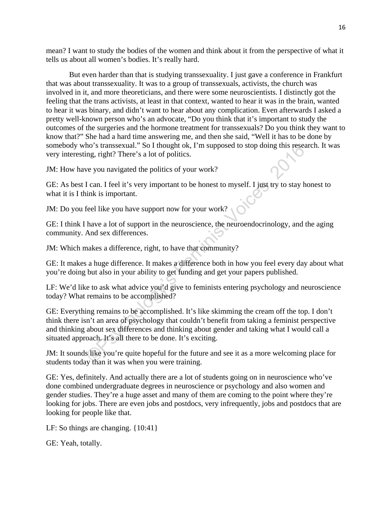mean? I want to study the bodies of the women and think about it from the perspective of what it tells us about all women's bodies. It's really hard.

But even harder than that is studying transsexuality. I just gave a conference in Frankfurt that was about transsexuality. It was to a group of transsexuals, activists, the church was involved in it, and more theoreticians, and there were some neuroscientists. I distinctly got the feeling that the trans activists, at least in that context, wanted to hear it was in the brain, wanted to hear it was binary, and didn't want to hear about any complication. Even afterwards I asked a pretty well-known person who's an advocate, "Do you think that it's important to study the outcomes of the surgeries and the hormone treatment for transsexuals? Do you think they want to know that?" She had a hard time answering me, and then she said, "Well it has to be done by somebody who's transsexual." So I thought ok, I'm supposed to stop doing this research. It was very interesting, right? There's a lot of politics.

JM: How have you navigated the politics of your work?

GE: As best I can. I feel it's very important to be honest to myself. I just try to stay honest to what it is I think is important.

JM: Do you feel like you have support now for your work?

GE: I think I have a lot of support in the neuroscience, the neuroendocrinology, and the aging community. And sex differences.

JM: Which makes a difference, right, to have that community?

GE: It makes a huge difference. It makes a difference both in how you feel every day about what you're doing but also in your ability to get funding and get your papers published.

LF: We'd like to ask what advice you'd give to feminists entering psychology and neuroscience today? What remains to be accomplished?

ho's transsexual." So I thought ok, I'm supposed to stop doing this resear<br>ing, right? There's a lot of politics.<br>We you navigated the politics of your work?<br>I can. I feel it's very important to be honest to myself. I just GE: Everything remains to be accomplished. It's like skimming the cream off the top. I don't think there isn't an area of psychology that couldn't benefit from taking a feminist perspective and thinking about sex differences and thinking about gender and taking what I would call a situated approach. It's all there to be done. It's exciting.

JM: It sounds like you're quite hopeful for the future and see it as a more welcoming place for students today than it was when you were training.

GE: Yes, definitely. And actually there are a lot of students going on in neuroscience who've done combined undergraduate degrees in neuroscience or psychology and also women and gender studies. They're a huge asset and many of them are coming to the point where they're looking for jobs. There are even jobs and postdocs, very infrequently, jobs and postdocs that are looking for people like that.

LF: So things are changing.  $\{10:41\}$ 

GE: Yeah, totally.